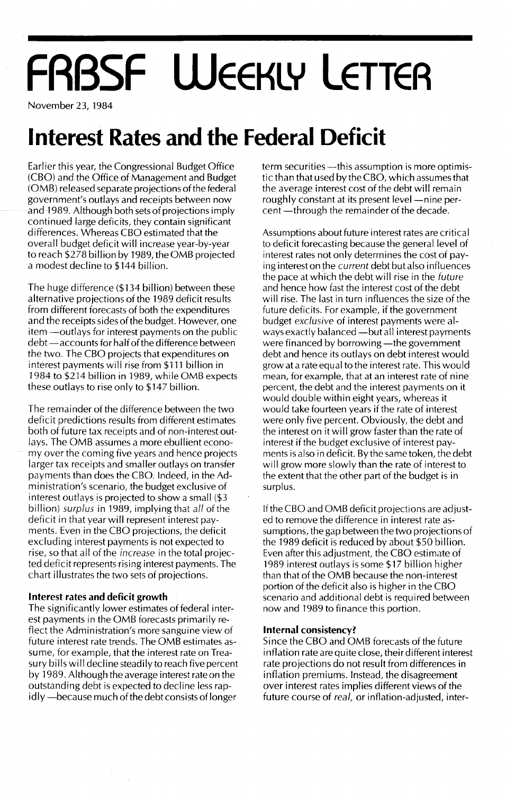# **FABSF WEEKLY LETTER**

November 23, 1984

## **Interest Rates and the Federal Deficit**

Earlier this year, the Congressional Budget Office (CBO) and the Office of Management and Budget (OMB) released separate projections of the federal government's outlays and receipts between now and 1989. Although both sets of projections imply continued large deficits, they contain significant differences. Whereas CBO estimated that the overall budget deficit will increase year-by-year to reach \$278 billion by 1989, the OMB projected a modest decline to \$144 billion.

The huge difference (\$134 billion) between these alternative projections of the 1989 deficit results from different forecasts of both the expenditures and the receipts sides of the budget. However, one item - outlays for interest payments on the public debt - accounts for half of the difference between the two. The CBO projects that expenditures on interest payments will rise from \$111 billion in 1984 to \$214 billion in 1989, while OMB expects these outlays to rise only to \$147 billion.

The remainder of the difference between the two deficit predictions results from different estimates both of future tax receipts and of non-interest outlays. The OMB assumes a more ebullient economy over the coming five years and hence projects larger tax receipts and smaller outlays on transfer payments than does the CBO. Indeed, in the Administration's scenario, the budget exclusive of interest outlays is projected to show a small (\$3 billion) surplus in 1989, implying that all of the deficit in that year will represent interest payments. Even in the CBO projections, the deficit excluding interest payments is not expected to rise, so that all of the increase in the total projected deficit represents rising interest payments. The chart illustrates the two sets of projections.

### **Interest rates and deficit growth**

The significantly lower estimates of federal interest payments in the OMB forecasts primarily reflect the Administration's more sanguine view of future interest rate trends. The OMB estimates assume, for example, that the interest rate on Treasury bills will decline steadily to reach five percent by 1989. Although the average interest rate on the outstanding debt is expected to decline less rapidly -- because much of the debt consists of longer

term securities -- this assumption is more optimistic than that used by the CBO, which assumes that the average interest cost of the debt will remain roughly constant at its present level -- nine percent -through the remainder of the decade.

Assumptions about future interest rates are critical to deficit forecasting because the general level of interest rates not only determines the cost of paying interest on the current debt but also influences the pace at which the debt will rise in the future and hence how fast the interest cost of the debt will rise. The last in turn influences the size of the future deficits. For example, if the government budget exclusive of interest payments were always exactly balanced - but all interest payments were financed by borrowing-the government debt and hence its outlays on debt interest would grow at a rate equal to the interest rate. This would mean, for example, that at an interest rate of nine percent, the debt and the interest payments on it would double within eight years, whereas it would take fourteen years if the rate of interest were only five percent. Obviously, the debt and the interest on it will grow faster than the rate of interest if the budget exclusive of interest payments is also in deficit. By the same token, the debt wilLgrow more slowly than the rate of interest to the extent that the other part of the budget is in surplus.

If the CBO and OMB deficit projections are adjusted to remove the difference in interest rate assumptions, the gap between the two projections of the 1989 deficit is reduced by about \$50 billion. Even after this adjustment, the CBO estimate of 1989 interest outlays is some \$17 billion higher than that of the OMB because the non-interest portion of the deficit also is higher in the CBO scenario and additional debt is required between now and 1989 to finance this portion.

### **Internal consistency?**

Since the CBO and OMB forecasts of the future inflation rate are quite close, their different interest rate projections do not result from differences in inflation premiums. Instead, the disagreement over interest rates implies different views of the future course of real, or inflation-adjusted, inter-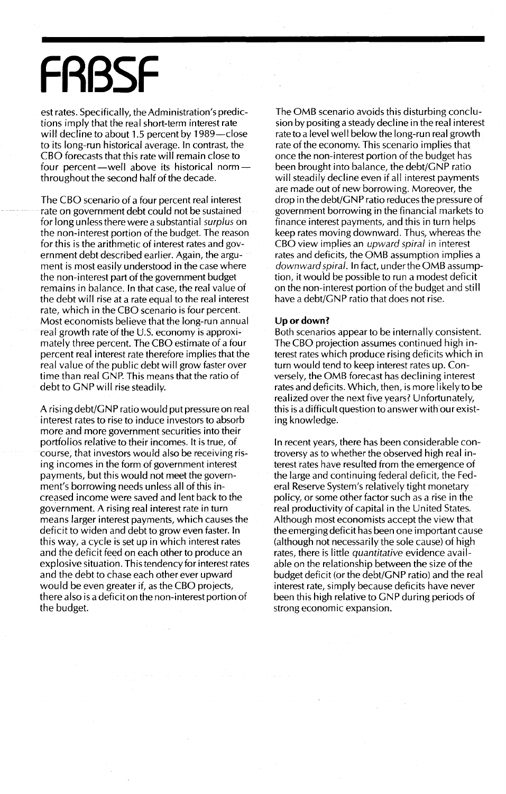## **FRBSF**

est rates. Specifically, the Administration's predictions imply that the real short-term interest rate will decline to about 1.5 percent by 1989-close to its long-run historical average. In contrast, the CBO forecasts that this rate will remain close to four percent-well above its historical normthroughout the second half of the decade.

The CBO scenario of a four percent real interest rate on government debt could not be sustained for long unless there were a substantial *surplus* on the non-interest portion of the budget. The reason for this is the arithmetic of interest rates and government debt described earlier. Again, the argument is most easily understood in the case where the non-interest part of the government budget remains in balance. In that case, the real value of the debt will rise at a rate equal to the real interest rate, which in the CBO scenario is four percent. Most economists believe that the long-run annual real growth rate of the U.S. economy is approximately three percent. The CBO estimate of a four percent real interest rate therefore implies that the real value of the public debt will grow faster over time than real GNP. This means that the ratio of debt to GNP will rise steadily.

A rising debt/GNP ratio would put pressure on real interest rates to rise to induce investors to absorb more and more government securities into their portfolios relative to their incomes. It is true, of course, that investors would also be receiving rising incomes in the form of government interest payments, but this would not meet the government's borrowing needs unless all of this increased income were saved and lent back to the government. A rising real interest rate in turn means larger interest payments, which causes the deficit to widen and debt to grow even faster. In this way, a cycle is set up in which interest rates and the deficit feed on each other to produce an explosive situation. This tendency for interest rates and the debt to chase each other ever upward would be even greater if, as the CBO projects, there also is a deficit on the non-interest portion of the budget.

The OMB scenario avoids this disturbing conclusion by positing a steady decline in the real interest rate to a level well below the long-run real growth rate of the economy. This scenario implies that once the non-interest portion of the budget has been brought into balance, the debt/GNP ratio will steadily dedine even if all interest payments are made out of new borrowing. Moreover, the drop in the debt/GNP ratio reduces the pressure of government borrowing in the financial markets to finance interest payments, and this in turn helps keep rates moving downward. Thus, whereas the CBO view implies an *upward spiral* in interest rates and deficits, the OMB assumption implies a *downward spiral.* In fact, underthe OMB assumption, it would be possible to run a modest deficit on the non-interest portion of the budget and still have a debt/GNP ratio that does not rise.

### Up or down?

Both scenarios appear to be internally consistent. The CBO projection assumes continued high interest rates which produce rising deficits which in turn would tend to keep interest rates up. Conversely, the OMB forecast has declining interest rates and deficits. Which, then, is more likely to be realized over the next five years? Unfortunately, this is a difficult question to answer with our existing knowledge.

In recent years, there has been considerable controversy as to whether the observed high real interest rates have resulted from the emergence of the large and continuing federal deficit, the Federal Reserve System's relatively tight monetary policy, or some other factor such as a rise in the real productivity of capital in the United States. Although most economists accept the view that the emerging deficit has been one important cause (although not necessarily the sole cause) of high rates, there is little *quantitative* evidence available on the relationship between the size of the budget deficit (or the debt/GNP ratio) and the real interest rate, simply because deficits have never been this high relative to GNP during periods of strong economic expansion.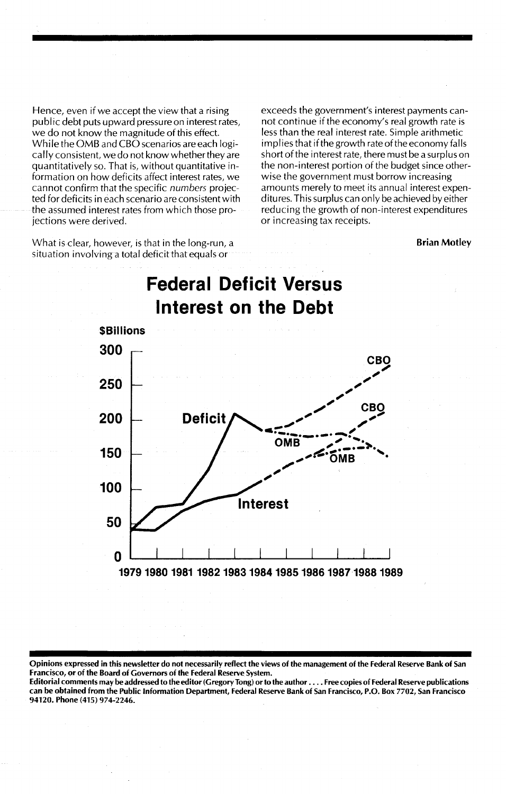Hence, even if we accept the view that a rising public debt puts upward pressure on interest rates, we do not know the magnitude of this effect. While the OMB and CBO scenarios are each logically consistent, we do not know whether they are quantitatively so. That is, without quantitative information on how deficits affect interest rates, we cannot confirm that the specific *numbers* projected for deficits in each scenario are consistent with the assumed interest rates from which those projections were derived.

What is clear, however, is that in the long-run, a situation involving a total deficit that equals or

exceeds the government's interest payments cannot continue if the economy's real growth rate is less than the real interest rate. Simple arithmetic implies that if the growth rate of the economy falls short of the interest rate, there must be a surplus on the non-interest portion of the budget since otherwise the government must borrow increasing amounts merely to meet its annual interest expenditures. This surplus can only be achieved by either reducing the growth of non-interest expenditures or increasing tax receipts.

#### Brian Motley



Opinions expressed in this newsletter do not necessarily reflect the views of the management of the Federal Reserve Bank of San Francisco, or of the Board of Governors of the Federal Reserve System.

Editorial comments may be addressed to the editor (Gregory Tong) orto the author .... Free copies of Federal Reserve publications can be obtained from the Public Information Department, Federal Reserve Bank of San Francisco, P.O. Box 7702, San Francisco 94120. Phone (415) 974-2246.